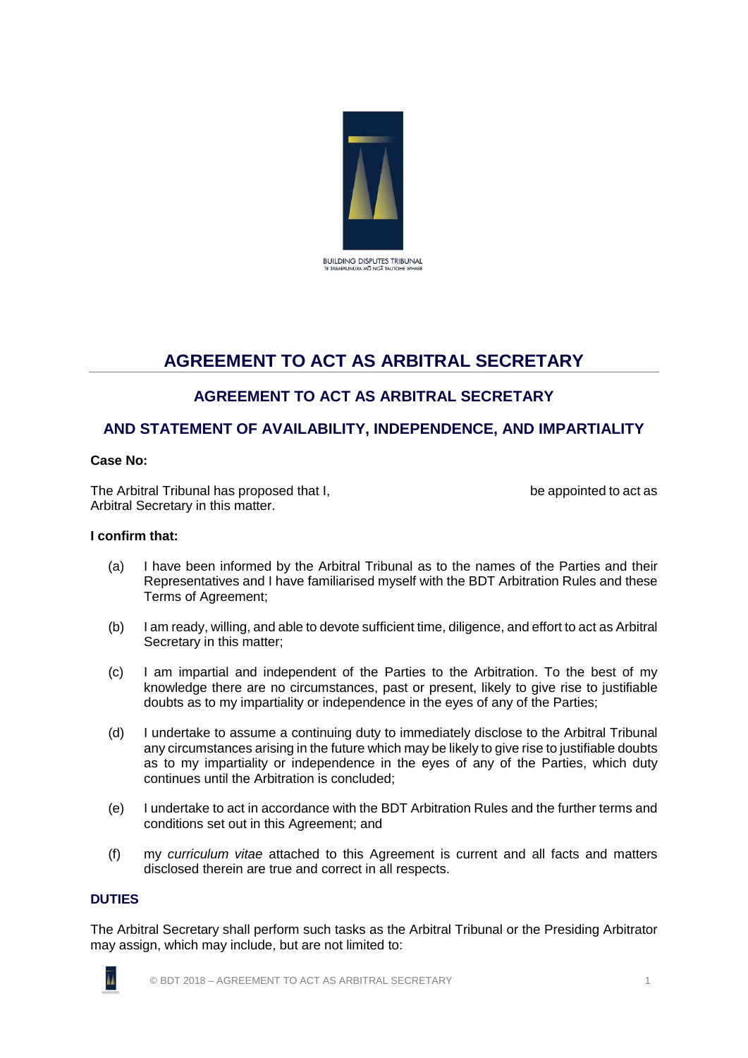

# **AGREEMENT TO ACT AS ARBITRAL SECRETARY**

# **AGREEMENT TO ACT AS ARBITRAL SECRETARY**

# **AND STATEMENT OF AVAILABILITY, INDEPENDENCE, AND IMPARTIALITY**

## **Case No:**

The Arbitral Tribunal has proposed that I, the appointed to act as be appointed to act as Arbitral Secretary in this matter.

#### **I confirm that:**

- (a) I have been informed by the Arbitral Tribunal as to the names of the Parties and their Representatives and I have familiarised myself with the BDT Arbitration Rules and these Terms of Agreement;
- (b) I am ready, willing, and able to devote sufficient time, diligence, and effort to act as Arbitral Secretary in this matter;
- (c) I am impartial and independent of the Parties to the Arbitration. To the best of my knowledge there are no circumstances, past or present, likely to give rise to justifiable doubts as to my impartiality or independence in the eyes of any of the Parties;
- (d) I undertake to assume a continuing duty to immediately disclose to the Arbitral Tribunal any circumstances arising in the future which may be likely to give rise to justifiable doubts as to my impartiality or independence in the eyes of any of the Parties, which duty continues until the Arbitration is concluded;
- (e) I undertake to act in accordance with the BDT Arbitration Rules and the further terms and conditions set out in this Agreement; and
- (f) my *curriculum vitae* attached to this Agreement is current and all facts and matters disclosed therein are true and correct in all respects.

# **DUTIES**

The Arbitral Secretary shall perform such tasks as the Arbitral Tribunal or the Presiding Arbitrator may assign, which may include, but are not limited to:

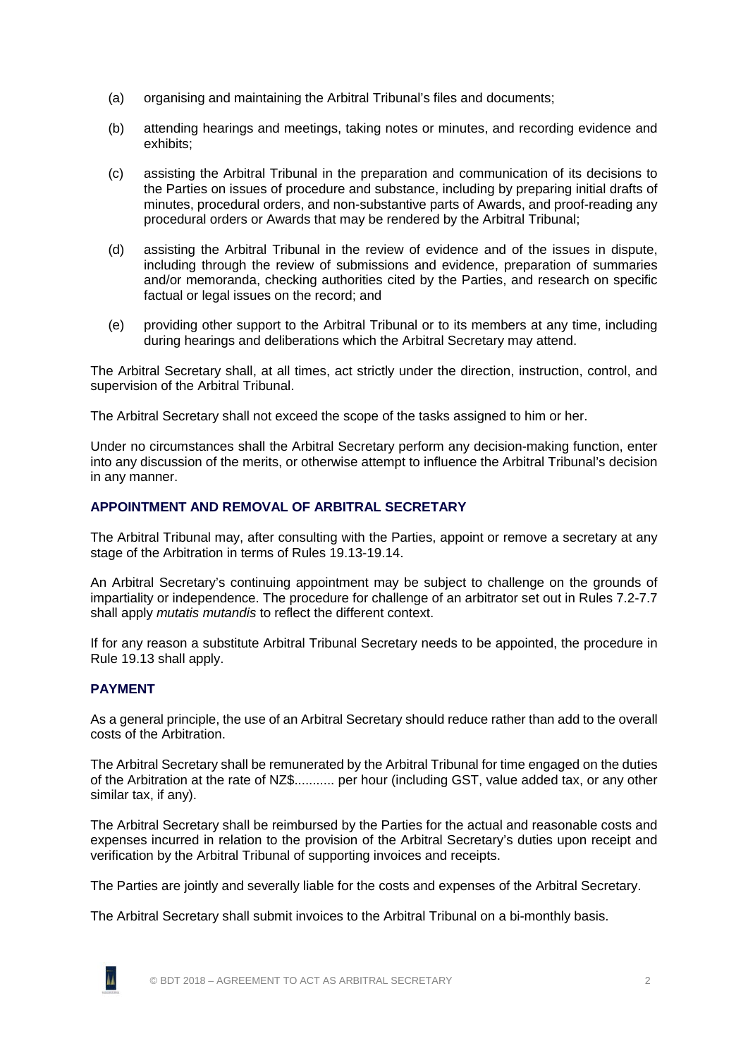- (a) organising and maintaining the Arbitral Tribunal's files and documents;
- (b) attending hearings and meetings, taking notes or minutes, and recording evidence and exhibits;
- (c) assisting the Arbitral Tribunal in the preparation and communication of its decisions to the Parties on issues of procedure and substance, including by preparing initial drafts of minutes, procedural orders, and non-substantive parts of Awards, and proof-reading any procedural orders or Awards that may be rendered by the Arbitral Tribunal;
- (d) assisting the Arbitral Tribunal in the review of evidence and of the issues in dispute, including through the review of submissions and evidence, preparation of summaries and/or memoranda, checking authorities cited by the Parties, and research on specific factual or legal issues on the record; and
- (e) providing other support to the Arbitral Tribunal or to its members at any time, including during hearings and deliberations which the Arbitral Secretary may attend.

The Arbitral Secretary shall, at all times, act strictly under the direction, instruction, control, and supervision of the Arbitral Tribunal.

The Arbitral Secretary shall not exceed the scope of the tasks assigned to him or her.

Under no circumstances shall the Arbitral Secretary perform any decision-making function, enter into any discussion of the merits, or otherwise attempt to influence the Arbitral Tribunal's decision in any manner.

# **APPOINTMENT AND REMOVAL OF ARBITRAL SECRETARY**

The Arbitral Tribunal may, after consulting with the Parties, appoint or remove a secretary at any stage of the Arbitration in terms of Rules 19.13-19.14.

An Arbitral Secretary's continuing appointment may be subject to challenge on the grounds of impartiality or independence. The procedure for challenge of an arbitrator set out in Rules 7.2-7.7 shall apply *mutatis mutandis* to reflect the different context.

If for any reason a substitute Arbitral Tribunal Secretary needs to be appointed, the procedure in Rule 19.13 shall apply.

### **PAYMENT**

As a general principle, the use of an Arbitral Secretary should reduce rather than add to the overall costs of the Arbitration.

The Arbitral Secretary shall be remunerated by the Arbitral Tribunal for time engaged on the duties of the Arbitration at the rate of NZ\$........... per hour (including GST, value added tax, or any other similar tax, if any).

The Arbitral Secretary shall be reimbursed by the Parties for the actual and reasonable costs and expenses incurred in relation to the provision of the Arbitral Secretary's duties upon receipt and verification by the Arbitral Tribunal of supporting invoices and receipts.

The Parties are jointly and severally liable for the costs and expenses of the Arbitral Secretary.

The Arbitral Secretary shall submit invoices to the Arbitral Tribunal on a bi-monthly basis.